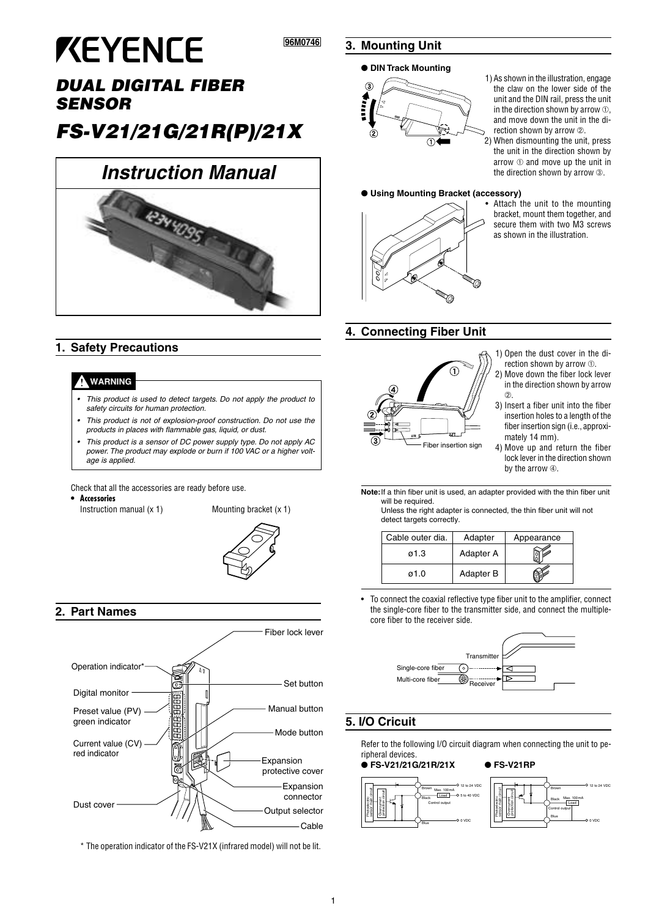# **KEYENCE**

# **DUAL DIGITAL FIBER SENSOR**

# **FS-V21/21G/21R(P)/21X**

# **Instruction Manual**



# **1. Safety Precautions**

#### **WARNING**

- • This product is used to detect targets. Do not apply the product to safety circuits for human protection.
- This product is not of explosion-proof construction. Do not use the products in places with flammable gas, liquid, or dust.
- • This product is a sensor of DC power supply type. Do not apply AC power. The product may explode or burn if 100 VAC or a higher voltage is applied.

Check that all the accessories are ready before use.

**• Accessories**

Instruction manual (x 1) Mounting bracket (x 1)



## **2. Part Names**



\* The operation indicator of the FS-V21X (infrared model) will not be lit.

## **3. Mounting Unit**

**96M0746 ???**

#### ● **DIN Track Mounting**



- 1) As shown in the illustration, engage the claw on the lower side of the unit and the DIN rail, press the unit in the direction shown by arrow ➀, and move down the unit in the direction shown by arrow  $\oslash$ .
- 2) When dismounting the unit, press the unit in the direction shown by arrow ➀ and move up the unit in the direction shown by arrow  $\circledcirc$ .

Attach the unit to the mounting bracket, mount them together, and secure them with two M3 screws as shown in the illustration.

#### ● **Using Mounting Bracket (accessory)**



#### **4. Connecting Fiber Unit**



- 1) Open the dust cover in the direction shown by arrow ➀.
- 2) Move down the fiber lock lever in the direction shown by arrow  $(2)$
- 3) Insert a fiber unit into the fiber insertion holes to a length of the fiber insertion sign (i.e., approximately 14 mm).
- 4) Move up and return the fiber lock lever in the direction shown by the arrow ➃.
- **Note:**If a thin fiber unit is used, an adapter provided with the thin fiber unit will be required.

Unless the right adapter is connected, the thin fiber unit will not detect targets correctly.

| Cable outer dia. | Adapter   | Appearance |
|------------------|-----------|------------|
| ø1.3             | Adapter A |            |
| ø1.0             | Adapter B |            |

• To connect the coaxial reflective type fiber unit to the amplifier, connect the single-core fiber to the transmitter side, and connect the multiplecore fiber to the receiver side.



# **5. I/O Cricuit**

Refer to the following I/O circuit diagram when connecting the unit to peripheral devices.

#### ● **FS-V21/21G/21R/21X** ● **FS-V21RP**

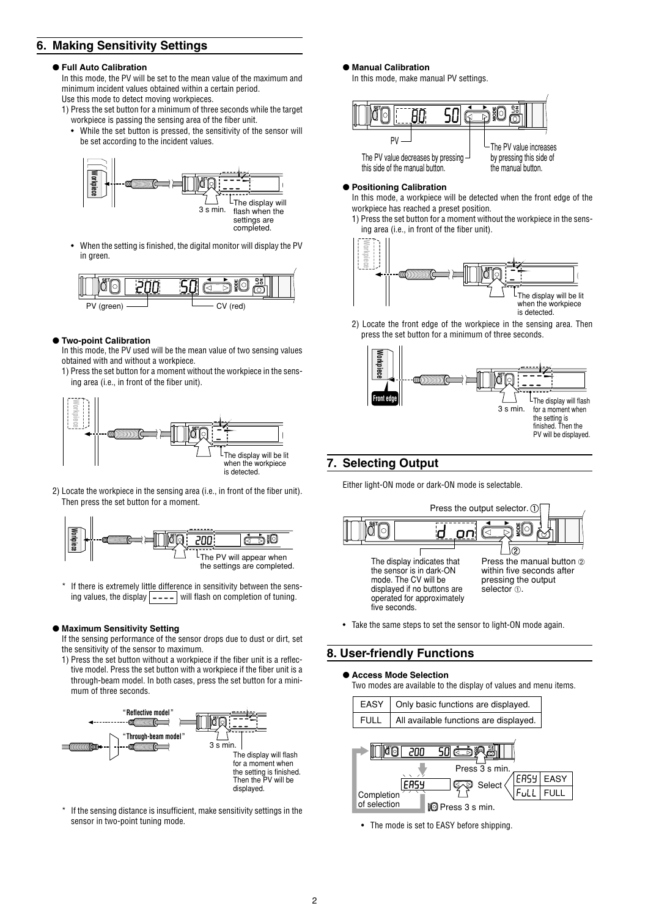# **6. Making Sensitivity Settings**

#### ● **Full Auto Calibration**

In this mode, the PV will be set to the mean value of the maximum and minimum incident values obtained within a certain period. Use this mode to detect moving workpieces.

- 1) Press the set button for a minimum of three seconds while the target workpiece is passing the sensing area of the fiber unit.
	- While the set button is pressed, the sensitivity of the sensor will be set according to the incident values.



• When the setting is finished, the digital monitor will display the PV in green.



#### ● **Two-point Calibration**

In this mode, the PV used will be the mean value of two sensing values obtained with and without a workpiece.

1) Press the set button for a moment without the workpiece in the sensing area (i.e., in front of the fiber unit).



2) Locate the workpiece in the sensing area (i.e., in front of the fiber unit). Then press the set button for a moment.



If there is extremely little difference in sensitivity between the sensing values, the display  $\boxed{\text{-} \text{-} \text{-}}$  will flash on completion of tuning.

#### ● **Maximum Sensitivity Setting**

If the sensing performance of the sensor drops due to dust or dirt, set the sensitivity of the sensor to maximum.

1) Press the set button without a workpiece if the fiber unit is a reflective model. Press the set button with a workpiece if the fiber unit is a through-beam model. In both cases, press the set button for a minimum of three seconds.



\* If the sensing distance is insufficient, make sensitivity settings in the sensor in two-point tuning mode.

● **Manual Calibration**

In this mode, make manual PV settings.



#### ● **Positioning Calibration**

In this mode, a workpiece will be detected when the front edge of the workpiece has reached a preset position.

1) Press the set button for a moment without the workpiece in the sensing area (i.e., in front of the fiber unit).



2) Locate the front edge of the workpiece in the sensing area. Then press the set button for a minimum of three seconds.



### **7. Selecting Output**

Either light-ON mode or dark-ON mode is selectable.



• Take the same steps to set the sensor to light-ON mode again.

## **8. User-friendly Functions**

#### ● **Access Mode Selection**

Two modes are available to the display of values and menu items.



• The mode is set to EASY before shipping.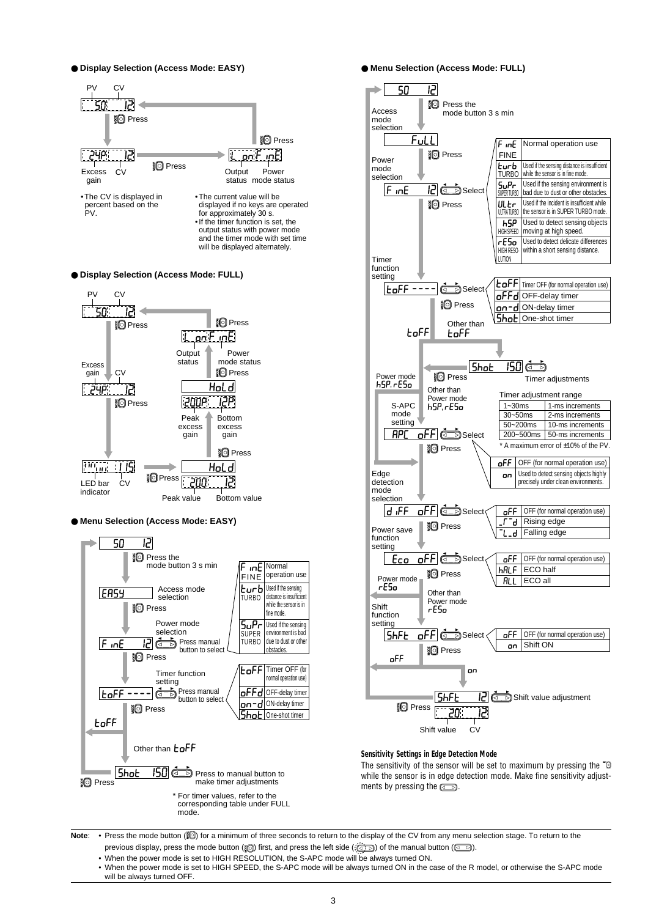● **Display Selection (Access Mode: EASY)**



● **Display Selection (Access Mode: FULL)**



● **Menu Selection (Access Mode: EASY)**



● **Menu Selection (Access Mode: FULL)**



#### **Sensitivity Settings in Edge Detection Mode**

The sensitivity of the sensor will be set to maximum by pressing the " $\bullet$ while the sensor is in edge detection mode. Make fine sensitivity adjustments by pressing the  $\Box$ .

Note: • Press the mode button (**[O]**) for a minimum of three seconds to return to the display of the CV from any menu selection stage. To return to the previous display, press the mode button ( $\Box$ ) first, and press the left side ( $\Box$ ) of the manual button ( $\Box$ ).

• When the power mode is set to HIGH RESOLUTION, the S-APC mode will be always turned ON.

• When the power mode is set to HIGH SPEED, the S-APC mode will be always turned ON in the case of the R model, or otherwise the S-APC mode will be always turned OFF.